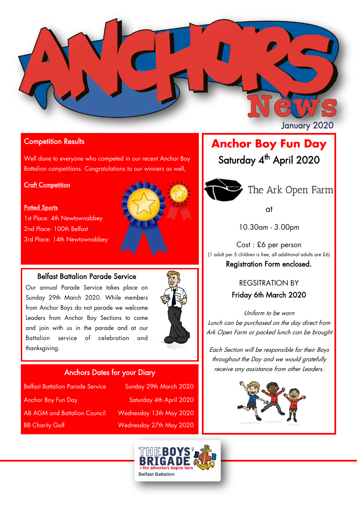

### Competition Results

Well done to everyone who competed in our recent Anchor Boy Battalion competitions. Congratulations to our winners as well,

#### **Craft Competition**

#### **Potted Sports**

1st Place: 4th Newtownabbey 2nd Place: 100th Belfast 3rd Place: 14th Newtownabbey



## Belfast Battalion Parade Service

Our annual Parade Service takes place on Sunday 29th March 2020. While members from Anchor Boys do not parade we welcome Leaders from Anchor Boy Sections to come and join with us in the parade and at our Battalion service of celebration and thanksgiving.



### Anchors Dates for your Diary

| <b>Belfast Battalion Parade Service</b> | Sunday 29th March 2020  |
|-----------------------------------------|-------------------------|
| <b>Anchor Boy Fun Day</b>               | Saturday 4th April 2020 |
| <b>AB AGM and Battalion Council</b>     | Wednesday 13th May 2020 |
| <b>BB Charity Golf</b>                  | Wednesday 27th May 2020 |

# **Anchor Boy Fun Day** Saturday 4<sup>th</sup> April 2020



at

10.30am - 3.00pm

Cost : £6 per person (1 adult per 5 children is free, all additional adults are £6) Registration Form enclosed.

# REGSITRATION BY Friday 6th March 2020

Uniform to be worn Lunch can be purchased on the day direct from Ark Open Farm or packed lunch can be brought

Each Section will be responsible for their Boys throughout the Day and we would gratefully receive any assistance from other Leaders.